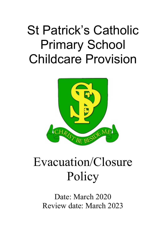## St Patrick's Catholic Primary School Childcare Provision



## Evacuation/Closure **Policy**

Date: March 2020 Review date: March 2023